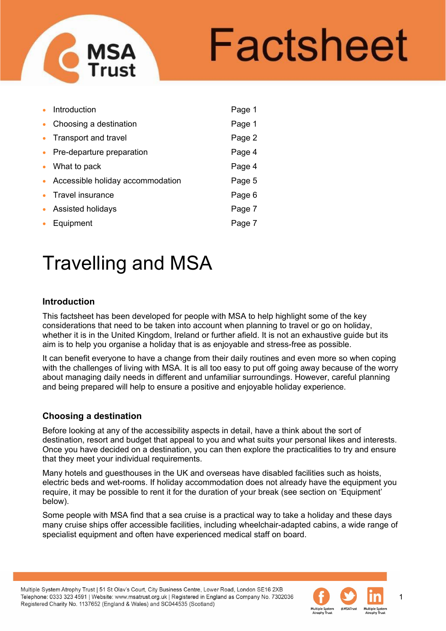# Factsheet

|           | Introduction                     | Page 1 |
|-----------|----------------------------------|--------|
| $\bullet$ | Choosing a destination           | Page 1 |
| $\bullet$ | Transport and travel             | Page 2 |
| $\bullet$ | Pre-departure preparation        | Page 4 |
| $\bullet$ | What to pack                     | Page 4 |
|           | Accessible holiday accommodation | Page 5 |
|           | Travel insurance                 | Page 6 |
| $\bullet$ | <b>Assisted holidays</b>         | Page 7 |
|           | Equipment                        | Page 7 |

# Travelling and MSA

# **Introduction**

This factsheet has been developed for people with MSA to help highlight some of the key considerations that need to be taken into account when planning to travel or go on holiday, whether it is in the United Kingdom, Ireland or further afield. It is not an exhaustive guide but its aim is to help you organise a holiday that is as enjoyable and stress-free as possible.

It can benefit everyone to have a change from their daily routines and even more so when coping with the challenges of living with MSA. It is all too easy to put off going away because of the worry about managing daily needs in different and unfamiliar surroundings. However, careful planning and being prepared will help to ensure a positive and enjoyable holiday experience.

# **Choosing a destination**

Before looking at any of the accessibility aspects in detail, have a think about the sort of destination, resort and budget that appeal to you and what suits your personal likes and interests. Once you have decided on a destination, you can then explore the practicalities to try and ensure that they meet your individual requirements.

Many hotels and guesthouses in the UK and overseas have disabled facilities such as hoists, electric beds and wet-rooms. If holiday accommodation does not already have the equipment you require, it may be possible to rent it for the duration of your break (see section on 'Equipment' below).

Some people with MSA find that a sea cruise is a practical way to take a holiday and these days many cruise ships offer accessible facilities, including wheelchair-adapted cabins, a wide range of specialist equipment and often have experienced medical staff on board.

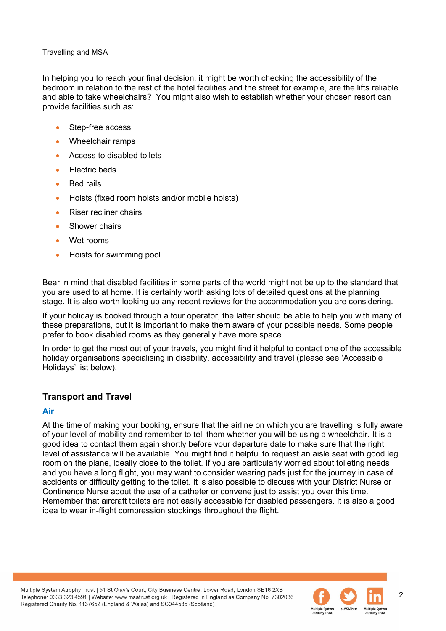In helping you to reach your final decision, it might be worth checking the accessibility of the bedroom in relation to the rest of the hotel facilities and the street for example, are the lifts reliable and able to take wheelchairs? You might also wish to establish whether your chosen resort can provide facilities such as:

- Step-free access
- Wheelchair ramps
- Access to disabled toilets
- Flectric beds
- Bed rails
- Hoists (fixed room hoists and/or mobile hoists)
- Riser recliner chairs
- Shower chairs
- Wet rooms
- Hoists for swimming pool.

Bear in mind that disabled facilities in some parts of the world might not be up to the standard that you are used to at home. It is certainly worth asking lots of detailed questions at the planning stage. It is also worth looking up any recent reviews for the accommodation you are considering.

If your holiday is booked through a tour operator, the latter should be able to help you with many of these preparations, but it is important to make them aware of your possible needs. Some people prefer to book disabled rooms as they generally have more space.

In order to get the most out of your travels, you might find it helpful to contact one of the accessible holiday organisations specialising in disability, accessibility and travel (please see 'Accessible Holidays' list below).

# **Transport and Travel**

# **Air**

At the time of making your booking, ensure that the airline on which you are travelling is fully aware of your level of mobility and remember to tell them whether you will be using a wheelchair. It is a good idea to contact them again shortly before your departure date to make sure that the right level of assistance will be available. You might find it helpful to request an aisle seat with good leg room on the plane, ideally close to the toilet. If you are particularly worried about toileting needs and you have a long flight, you may want to consider wearing pads just for the journey in case of accidents or difficulty getting to the toilet. It is also possible to discuss with your District Nurse or Continence Nurse about the use of a catheter or convene just to assist you over this time. Remember that aircraft toilets are not easily accessible for disabled passengers. It is also a good idea to wear in-flight compression stockings throughout the flight.

Multiple System Atrophy Trust | 51 St Olav's Court, City Business Centre, Lower Road, London SE16 2XB Telephone: 0333 323 4591 | Website: www.msatrust.org.uk | Registered in England as Company No. 7302036 Registered Charity No. 1137652 (England & Wales) and SC044535 (Scotland)

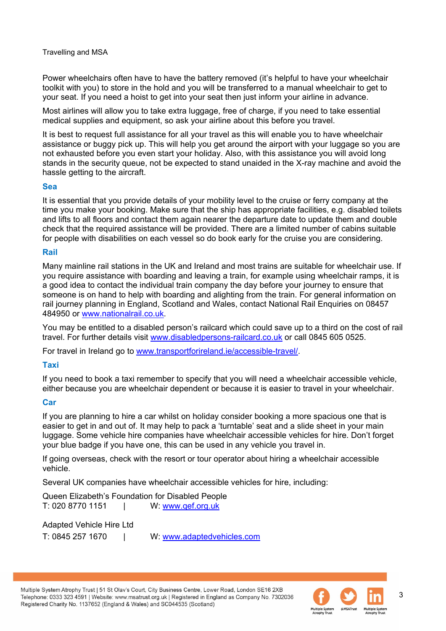Power wheelchairs often have to have the battery removed (it's helpful to have your wheelchair toolkit with you) to store in the hold and you will be transferred to a manual wheelchair to get to your seat. If you need a hoist to get into your seat then just inform your airline in advance.

Most airlines will allow you to take extra luggage, free of charge, if you need to take essential medical supplies and equipment, so ask your airline about this before you travel.

It is best to request full assistance for all your travel as this will enable you to have wheelchair assistance or buggy pick up. This will help you get around the airport with your luggage so you are not exhausted before you even start your holiday. Also, with this assistance you will avoid long stands in the security queue, not be expected to stand unaided in the X-ray machine and avoid the hassle getting to the aircraft.

#### **Sea**

It is essential that you provide details of your mobility level to the cruise or ferry company at the time you make your booking. Make sure that the ship has appropriate facilities, e.g. disabled toilets and lifts to all floors and contact them again nearer the departure date to update them and double check that the required assistance will be provided. There are a limited number of cabins suitable for people with disabilities on each vessel so do book early for the cruise you are considering.

# **Rail**

Many mainline rail stations in the UK and Ireland and most trains are suitable for wheelchair use. If you require assistance with boarding and leaving a train, for example using wheelchair ramps, it is a good idea to contact the individual train company the day before your journey to ensure that someone is on hand to help with boarding and alighting from the train. For general information on rail journey planning in England, Scotland and Wales, contact National Rail Enquiries on 08457 484950 or [www.nationalrail.co.uk.](http://www.nationalrail.co.uk/)

You may be entitled to a disabled person's railcard which could save up to a third on the cost of rail travel. For further details visit [www.disabledpersons-railcard.co.uk](http://www.disabledpersons-railcard.co.uk/) or call 0845 605 0525.

For travel in Ireland go to www.transportforireland.ie/accessible-travel/.

# **Taxi**

If you need to book a taxi remember to specify that you will need a wheelchair accessible vehicle, either because you are wheelchair dependent or because it is easier to travel in your wheelchair.

# **Car**

If you are planning to hire a car whilst on holiday consider booking a more spacious one that is easier to get in and out of. It may help to pack a 'turntable' seat and a slide sheet in your main luggage. Some vehicle hire companies have wheelchair accessible vehicles for hire. Don't forget your blue badge if you have one, this can be used in any vehicle you travel in.

If going overseas, check with the resort or tour operator about hiring a wheelchair accessible vehicle.

Several UK companies have wheelchair accessible vehicles for hire, including:

Queen Elizabeth's Foundation for Disabled People<br>T: 020 8770 1151 | W: www.gef.org.uk W: www.gef.org.uk

Adapted Vehicle Hire Ltd

T: 0845 257 1670 | W: [www.adaptedvehicles.com](http://www.adaptedvehicles.com/) 

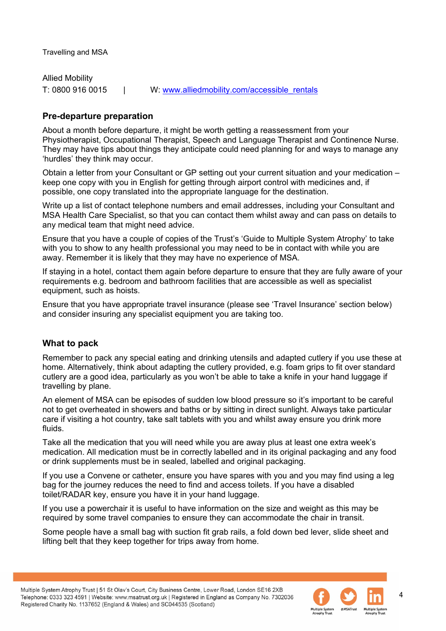Allied Mobility T: 0800 916 0015 | W: [www.alliedmobility.com/accessible\\_rentals](http://www.alliedmobility.com/accessible_rentals) 

# **Pre-departure preparation**

About a month before departure, it might be worth getting a reassessment from your Physiotherapist, Occupational Therapist, Speech and Language Therapist and Continence Nurse. They may have tips about things they anticipate could need planning for and ways to manage any 'hurdles' they think may occur.

Obtain a letter from your Consultant or GP setting out your current situation and your medication – keep one copy with you in English for getting through airport control with medicines and, if possible, one copy translated into the appropriate language for the destination.

Write up a list of contact telephone numbers and email addresses, including your Consultant and MSA Health Care Specialist, so that you can contact them whilst away and can pass on details to any medical team that might need advice.

Ensure that you have a couple of copies of the Trust's 'Guide to Multiple System Atrophy' to take with you to show to any health professional you may need to be in contact with while you are away. Remember it is likely that they may have no experience of MSA.

If staying in a hotel, contact them again before departure to ensure that they are fully aware of your requirements e.g. bedroom and bathroom facilities that are accessible as well as specialist equipment, such as hoists.

Ensure that you have appropriate travel insurance (please see 'Travel Insurance' section below) and consider insuring any specialist equipment you are taking too.

# **What to pack**

Remember to pack any special eating and drinking utensils and adapted cutlery if you use these at home. Alternatively, think about adapting the cutlery provided, e.g. foam grips to fit over standard cutlery are a good idea, particularly as you won't be able to take a knife in your hand luggage if travelling by plane.

An element of MSA can be episodes of sudden low blood pressure so it's important to be careful not to get overheated in showers and baths or by sitting in direct sunlight. Always take particular care if visiting a hot country, take salt tablets with you and whilst away ensure you drink more fluids.

Take all the medication that you will need while you are away plus at least one extra week's medication. All medication must be in correctly labelled and in its original packaging and any food or drink supplements must be in sealed, labelled and original packaging.

If you use a Convene or catheter, ensure you have spares with you and you may find using a leg bag for the journey reduces the need to find and access toilets. If you have a disabled toilet/RADAR key, ensure you have it in your hand luggage.

If you use a powerchair it is useful to have information on the size and weight as this may be required by some travel companies to ensure they can accommodate the chair in transit.

Some people have a small bag with suction fit grab rails, a fold down bed lever, slide sheet and lifting belt that they keep together for trips away from home.

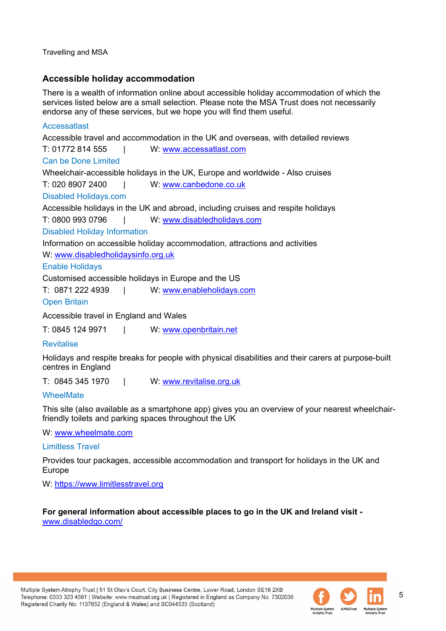# **Accessible holiday accommodation**

There is a wealth of information online about accessible holiday accommodation of which the services listed below are a small selection. Please note the MSA Trust does not necessarily endorse any of these services, but we hope you will find them useful.

# Accessatlast Accessible travel and accommodation in the UK and overseas, with detailed reviews T: 01772 814 555 | W: [www.accessatlast.com](http://www.accessatlast.com/) Can be Done Limited Wheelchair-accessible holidays in the UK, Europe and worldwide - Also cruises T: 020 8907 2400 | W: [www.canbedone.co.uk](http://www.canbedone.co.uk/) Disabled Holidays.com Accessible holidays in the UK and abroad, including cruises and respite holidays T: 0800 993 0796 | W: [www.disabledholidays.com](http://www.disabledholidays.com/)  Disabled Holiday Information Information on accessible holiday accommodation, attractions and activities W: [www.disabledholidaysinfo.org.uk](http://www.disabledholidaysinfo.org.uk/)  Enable Holidays Customised accessible holidays in Europe and the US

T: 0871 222 4939 | W: [www.enableholidays.com](http://www.enableholidays.com/)

Open Britain

Accessible travel in England and Wales

T: 0845 124 9971 | W: [www.openbritain.net](http://www.openbritain.net/)

# Revitalise

Holidays and respite breaks for people with physical disabilities and their carers at purpose-built centres in England

T: 0845 345 1970 | W: [www.revitalise.org.uk](http://www.revitalise.org.uk/)

# WheelMate

This site (also available as a smartphone app) gives you an overview of your nearest wheelchairfriendly toilets and parking spaces throughout the UK

W: [www.wheelmate.com](http://www.wheelmate.com/)

Limitless Travel

Provides tour packages, accessible accommodation and transport for holidays in the UK and Europe

W: [https://www.limitlesstravel.org](https://www.limitlesstravel.org/) 

**For general information about accessible places to go in the UK and Ireland visit**  [www.disabledgo.com/](https://www.disabledgo.com/)

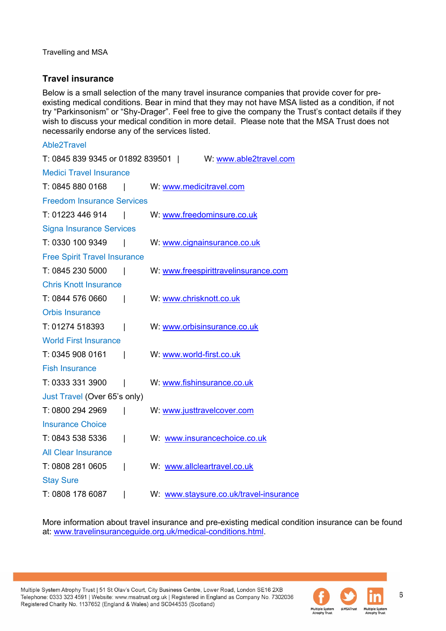# **Travel insurance**

Below is a small selection of the many travel insurance companies that provide cover for preexisting medical conditions. Bear in mind that they may not have MSA listed as a condition, if not try "Parkinsonism" or "Shy-Drager". Feel free to give the company the Trust's contact details if they wish to discuss your medical condition in more detail. Please note that the MSA Trust does not necessarily endorse any of the services listed.

| Able2Travel                                               |                 |                                        |  |  |
|-----------------------------------------------------------|-----------------|----------------------------------------|--|--|
| T: 0845 839 9345 or 01892 839501   W: www.able2travel.com |                 |                                        |  |  |
| <b>Medici Travel Insurance</b>                            |                 |                                        |  |  |
| T: 0845 880 0168                                          | and the control | W: www.medicitravel.com                |  |  |
| <b>Freedom Insurance Services</b>                         |                 |                                        |  |  |
| T: 01223 446 914                                          | and the state   | W: www.freedominsure.co.uk             |  |  |
| <b>Signa Insurance Services</b>                           |                 |                                        |  |  |
| T: 0330 100 9349                                          | $\mathsf{I}$    | W: www.cignainsurance.co.uk            |  |  |
| <b>Free Spirit Travel Insurance</b>                       |                 |                                        |  |  |
| T: 0845 230 5000                                          | I               | W: www.freespirittravelinsurance.com   |  |  |
| <b>Chris Knott Insurance</b>                              |                 |                                        |  |  |
| T: 0844 576 0660                                          | I               | W: www.chrisknott.co.uk                |  |  |
| <b>Orbis Insurance</b>                                    |                 |                                        |  |  |
| T: 01274 518393                                           | I               | W: www.orbisinsurance.co.uk            |  |  |
| <b>World First Insurance</b>                              |                 |                                        |  |  |
| T: 0345 908 0161                                          | $\mathsf{I}$    | W: www.world-first.co.uk               |  |  |
| <b>Fish Insurance</b>                                     |                 |                                        |  |  |
| T: 0333 331 3900                                          | I               | W: www.fishinsurance.co.uk             |  |  |
| Just Travel (Over 65's only)                              |                 |                                        |  |  |
| T: 0800 294 2969                                          | I               | W: www.justtravelcover.com             |  |  |
| <b>Insurance Choice</b>                                   |                 |                                        |  |  |
| T: 0843 538 5336                                          | I               | W: www.insurancechoice.co.uk           |  |  |
| <b>All Clear Insurance</b>                                |                 |                                        |  |  |
| T: 0808 281 0605                                          | I               | W: www.allcleartravel.co.uk            |  |  |
| <b>Stay Sure</b>                                          |                 |                                        |  |  |
| T: 0808 178 6087                                          |                 | W: www.staysure.co.uk/travel-insurance |  |  |
|                                                           |                 |                                        |  |  |

More information about travel insurance and pre-existing medical condition insurance can be found at: [www.travelinsuranceguide.org.uk/medical-conditions.html.](http://www.travelinsuranceguide.org.uk/medical-conditions.html)

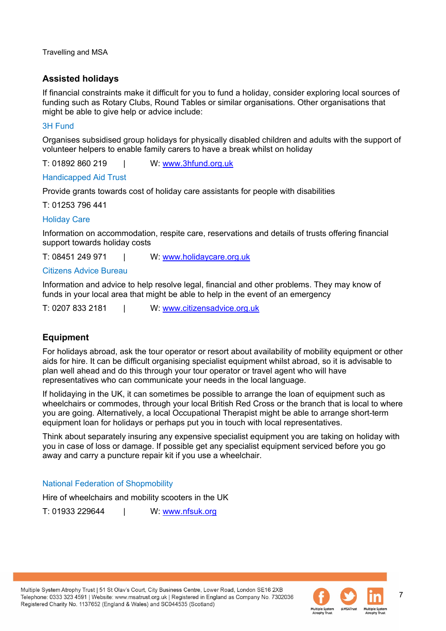# **Assisted holidays**

If financial constraints make it difficult for you to fund a holiday, consider exploring local sources of funding such as Rotary Clubs, Round Tables or similar organisations. Other organisations that might be able to give help or advice include:

# 3H Fund

Organises subsidised group holidays for physically disabled children and adults with the support of volunteer helpers to enable family carers to have a break whilst on holiday

T: 01892 860 219 | W: www.3hfund.org.uk

# Handicapped Aid Trust

Provide grants towards cost of holiday care assistants for people with disabilities

T: 01253 796 441

# Holiday Care

Information on accommodation, respite care, reservations and details of trusts offering financial support towards holiday costs

T: 08451 249 971 | W: [www.holidaycare.org.uk](http://www.holidaycare.org.uk/) 

# Citizens Advice Bureau

Information and advice to help resolve legal, financial and other problems. They may know of funds in your local area that might be able to help in the event of an emergency

T: 0207 833 2181 | W: [www.citizensadvice.org.uk](http://www.citizensadvice.org.uk/)

# **Equipment**

For holidays abroad, ask the tour operator or resort about availability of mobility equipment or other aids for hire. It can be difficult organising specialist equipment whilst abroad, so it is advisable to plan well ahead and do this through your tour operator or travel agent who will have representatives who can communicate your needs in the local language.

If holidaying in the UK, it can sometimes be possible to arrange the loan of equipment such as wheelchairs or commodes, through your local British Red Cross or the branch that is local to where you are going. Alternatively, a local Occupational Therapist might be able to arrange short-term equipment loan for holidays or perhaps put you in touch with local representatives.

Think about separately insuring any expensive specialist equipment you are taking on holiday with you in case of loss or damage. If possible get any specialist equipment serviced before you go away and carry a puncture repair kit if you use a wheelchair.

# National Federation of Shopmobility

Hire of wheelchairs and mobility scooters in the UK

T: 01933 229644 | W: [www.nfsuk.org](http://www.nfsuk.org/) 

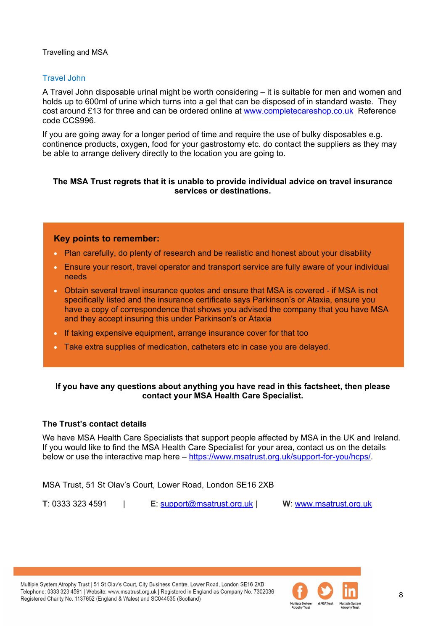# Travel John

A Travel John disposable urinal might be worth considering – it is suitable for men and women and holds up to 600ml of urine which turns into a gel that can be disposed of in standard waste. They cost around £13 for three and can be ordered online at [www.completecareshop.co.uk](http://www.completecareshop.co.uk/) Reference code CCS996.

If you are going away for a longer period of time and require the use of bulky disposables e.g. continence products, oxygen, food for your gastrostomy etc. do contact the suppliers as they may be able to arrange delivery directly to the location you are going to.

#### **The MSA Trust regrets that it is unable to provide individual advice on travel insurance services or destinations.**

# **Key points to remember:**

- Plan carefully, do plenty of research and be realistic and honest about your disability
- Ensure your resort, travel operator and transport service are fully aware of your individual needs
- Obtain several travel insurance quotes and ensure that MSA is covered if MSA is not specifically listed and the insurance certificate says Parkinson's or Ataxia, ensure you have a copy of correspondence that shows you advised the company that you have MSA and they accept insuring this under Parkinson's or Ataxia
- If taking expensive equipment, arrange insurance cover for that too
- Take extra supplies of medication, catheters etc in case you are delayed.

# **If you have any questions about anything you have read in this factsheet, then please contact your MSA Health Care Specialist.**

# **The Trust's contact details**

We have MSA Health Care Specialists that support people affected by MSA in the UK and Ireland. If you would like to find the MSA Health Care Specialist for your area, contact us on the details below or use the interactive map here – [https://www.msatrust.org.uk/support-for-you/hcps/.](https://www.msatrust.org.uk/support-for-you/hcps/)

MSA Trust, 51 St Olav's Court, Lower Road, London SE16 2XB

**T**: 0333 323 4591 | **E**: [support@msatrust.org.uk](mailto:support@msatrust.org.uk) | **W**: [www.msatrust.org.uk](http://www.msatrust.org.uk/)